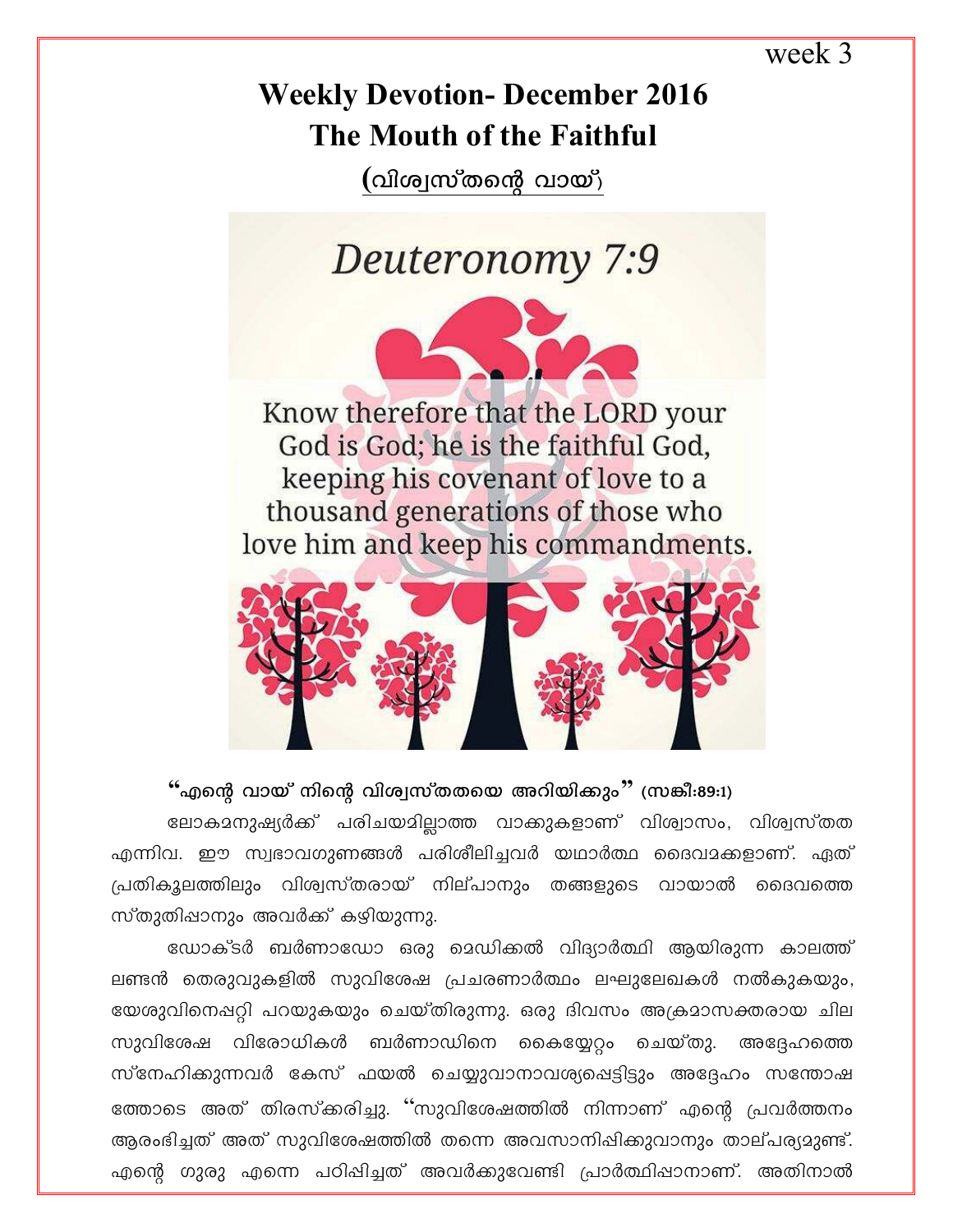### week 3

## **Weekly Devotion- December 2016** The Mouth of the Faithful

(വിശ്വസ്തന്റെ വായ്)

Deuteronomy 7:9

Know therefore that the LORD your God is God; he is the faithful God, keeping his covenant of love to a thousand generations of those who love him and keep his commandments.



### "എന്റെ വായ് നിന്റെ വിശ്വസ്തതയെ അറിയിക്കും" (സങ്കീ:89:1)

ലോകമനുഷ്യർക്ക് പരിചയമില്ലാത്ത വാക്കുകളാണ് വിശ്വാസം, വിശ്വസ്തത എന്നിവ. ഈ സ്വഭാവഗുണങ്ങൾ പരിശീലിച്ചവർ യഥാർത്ഥ ദൈവമക്കളാണ്. ഏത് പ്രതികുലത്തിലും വിശ്വസ്തരായ് നില്പാനും തങ്ങളുടെ വായാൽ ദൈവത്തെ സ്തുതിഷാനും അവർക്ക് കഴിയുന്നു.

ഡോക്ടർ ബർണാഡോ ഒരു മെഡിക്കൽ വിദ്യാർത്ഥി ആയിരുന്ന കാലത്ത് ലണ്ടൻ തെരുവുകളിൽ സുവിശേഷ പ്രചരണാർത്ഥം ലഘുലേഖകൾ നൽകുകയും, യേശുവിനെഷറ്റി പറയുകയും ചെയ്തിരുന്നു. ഒരു ദിവസം അക്രമാസക്തരായ ചില സുവിശേഷ വിരോധികൾ ബർണാഡിനെ കൈയ്യേറ്റം ചെയ്തു. അദ്ദേഹത്തെ സ്നേഹിക്കുന്നവർ കേസ് ഫയൽ ചെയ്യുവാനാവശ്യപ്പെട്ടിട്ടും അദ്ദേഹം സന്തോഷ ത്തോടെ അത് തിരസ്ക്കരിച്ചു. ''സുവിശേഷത്തിൽ നിന്നാണ് എന്റെ പ്രവർത്തനം ആരംഭിച്ചത് അത് സുവിശേഷത്തിൽ തന്നെ അവസാനിഷിക്കുവാനും താല്പര്യമുണ്ട്. എന്റെ ഗുരു എന്നെ പഠിപ്പിച്ചത് അവർക്കുവേണ്ടി പ്രാർത്ഥിപ്പാനാണ്. അതിനാൽ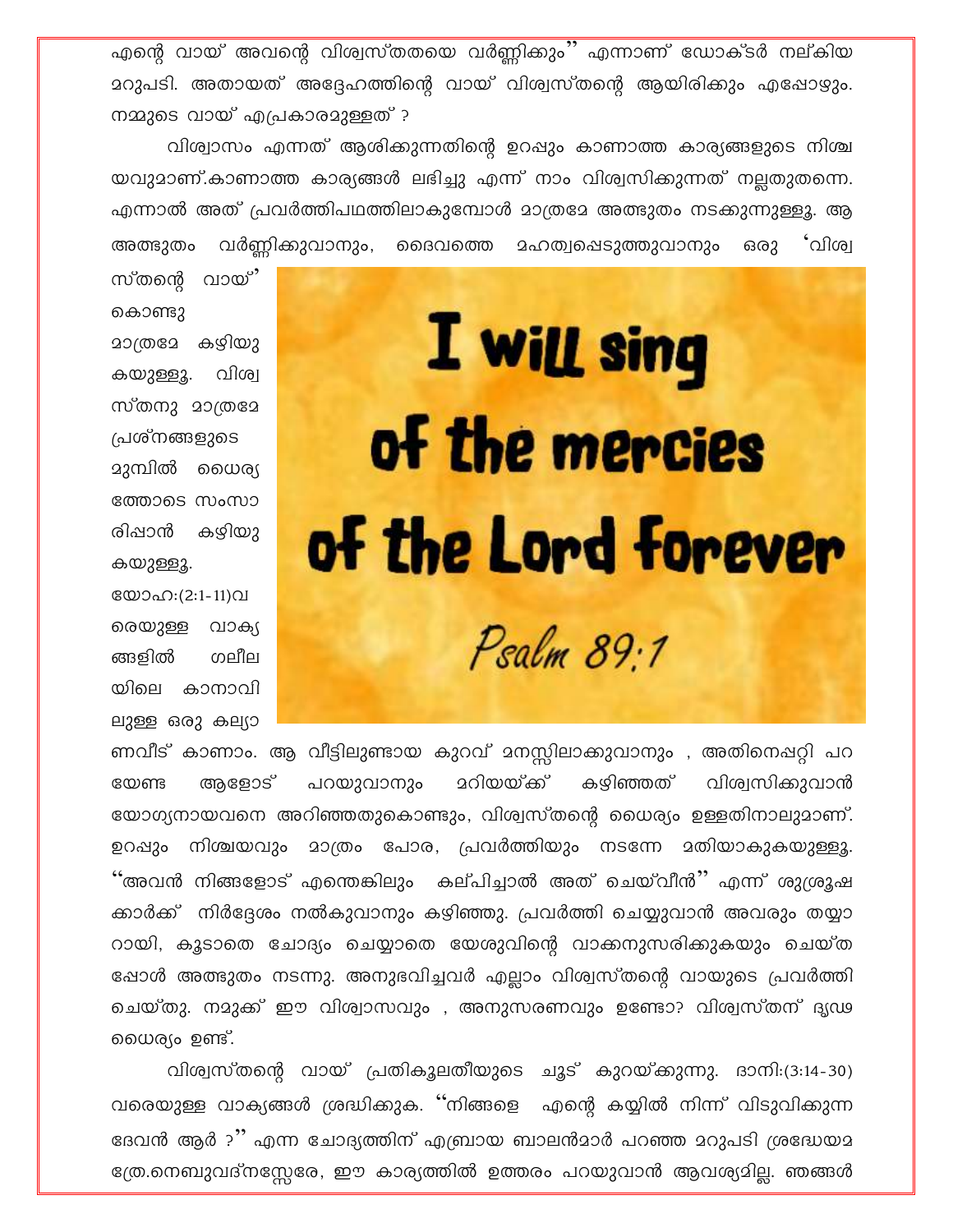എന്റെ വായ് അവന്റെ വിശ്വസ്തതയെ വർണ്ണിക്കും'' എന്നാണ് ഡോക്ടർ നല്കിയ മറുപടി. അതായത് അദ്ദേഹത്തിന്റെ വായ് വിശ്വസ്തന്റെ ആയിരിക്കും എഷോഴും. നമ്മുടെ വായ് എപ്രകാരമുള്ളത് ?

വിശ്വാസം എന്നത് ആശിക്കുന്നതിന്റെ ഉറപ്പും കാണാത്ത കാര്യങ്ങളുടെ നിശ്ച യവുമാണ്.കാണാത്ത കാര്യങ്ങൾ ലഭിച്ചു എന്ന് നാം വിശ്വസിക്കുന്നത് നല്ലതുതന്നെ. എന്നാൽ അത് പ്രവർത്തിപഥത്തിലാകുമ്പോൾ മാത്രമേ അത്ഭുതം നടക്കുന്നുള്ളൂ. ആ അത്ഭുതം വർണ്ണിക്കുവാനും, ദൈവത്തെ മഹത്വപ്പെടുത്തുവാനും ഒരു `വിശ്വ

സ്തന്റെ വായ് കൊണ്ടു മാത്രമേ കഴിയു കയുള്ളൂ. വിശ്വ സ്തനു മാത്രമേ പ്രശ്നങ്ങളുടെ ദുമ്പിൽ ധൈര്യ ത്തോടെ സംസാ രിപ്പാൻ കഴിയു കയുള്ളൂ. യോഹ:(2:1-11)വ രെയുള്ള വാക്യ ങ്ങളിൽ ഗലീല

യിലെ കാനാവി

ലുള്ള ഒരു കല്യാ

# I will sing of the mercies of the Lord forever Psalm 89.1

ണവീട് കാണാം. ആ വീട്ടിലുണ്ടായ കുറവ് മനസ്സിലാക്കുവാനും , അതിനെഷറ്റി പറ <u> ദറിയയ്ക്ക് </u> കഴിഞ്ഞത് വിശ്വസിക്കുവാൻ അളോട് പറയുവാനും യേണ്ട യോഗ്യനായവനെ അറിഞ്ഞതുകൊണ്ടും, വിശ്വസ്തന്റെ ധൈര്യം ഉള്ളതിനാലുമാണ്. ഉറഷും നിശ്ചയവും മാത്രം പോര, പ്രവർത്തിയും നടന്നേ മതിയാകുകയുള്ളൂ. ''അവൻ നിങ്ങളോട് എന്തെങ്കിലും കല്പിച്ചാൽ അത് ചെയ്വീൻ'' എന്ന് ശുശ്രൂഷ ക്കാർക്ക് നിർദ്ദേശം നൽകുവാനും കഴിഞ്ഞു. പ്രവർത്തി ചെയ്യുവാൻ അവരും തയ്യാ റായി, കൂടാതെ ചോദ്യം ചെയ്യാതെ യേശുവിന്റെ വാക്കനുസരിക്കുകയും ചെയ്ത ഷോൾ അത്ഭുതം നടന്നു. അനുഭവിച്ചവർ എല്ലാം വിശ്വസ്തന്റെ വായുടെ പ്രവർത്തി ചെയ്തു. നമുക്ക് ഈ വിശ്വാസവും , അനുസരണവും ഉണ്ടോ? വിശ്വസ്തന് ദൃഢ ധൈര്യം ഉണ്ട്.

വിശ്വസ്തന്റെ വായ് പ്രതികൂലതീയുടെ ചൂട് കുറയ്ക്കുന്നു. ദാനി:(3:14-30) വരെയുള്ള വാക്യങ്ങൾ ശ്രദ്ധിക്കുക. ''നിങ്ങളെ എന്റെ കയ്യിൽ നിന്ന് വിടുവിക്കുന്ന ദേവൻ ആർ ?'' എന്ന ചോദ്യത്തിന് എബ്രായ ബാലൻമാർ പറഞ്ഞ മറുപടി ശ്രദ്ധേയമ ത്രേ.നെബുവദ്നസ്സേരേ, ഈ കാര്യത്തിൽ ഉത്തരം പറയുവാൻ ആവശ്യമില്ല. ഞങ്ങൾ